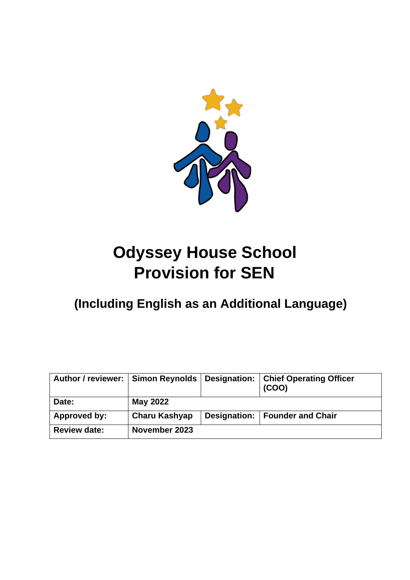

# **Odyssey House School Provision for SEN**

# **(Including English as an Additional Language)**

| <b>Author / reviewer:</b> | <b>Simon Reynolds</b> | Designation: | <b>Chief Operating Officer</b><br>(COO) |
|---------------------------|-----------------------|--------------|-----------------------------------------|
| Date:                     | May 2022              |              |                                         |
| Approved by:              | <b>Charu Kashyap</b>  | Designation: | <b>Founder and Chair</b>                |
| <b>Review date:</b>       | November 2023         |              |                                         |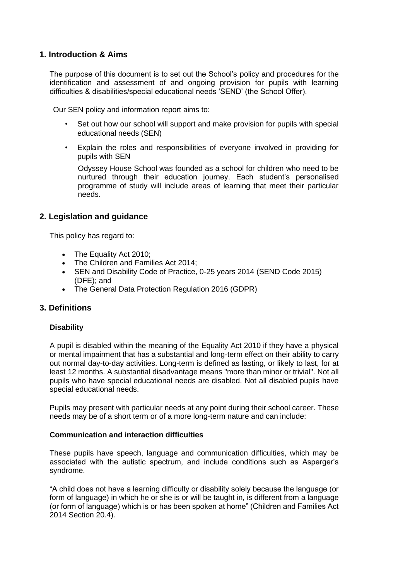#### **1. Introduction & Aims**

The purpose of this document is to set out the School's policy and procedures for the identification and assessment of and ongoing provision for pupils with learning difficulties & disabilities/special educational needs 'SEND' (the School Offer).

Our SEN policy and information report aims to:

- Set out how our school will support and make provision for pupils with special educational needs (SEN)
- Explain the roles and responsibilities of everyone involved in providing for pupils with SEN

Odyssey House School was founded as a school for children who need to be nurtured through their education journey. Each student's personalised programme of study will include areas of learning that meet their particular needs.

#### **2. Legislation and guidance**

This policy has regard to:

- The Equality Act 2010;
- The Children and Families Act 2014;
- SEN and Disability Code of Practice, 0-25 years 2014 (SEND Code 2015) (DFE); and
- The General Data Protection Regulation 2016 (GDPR)

#### **3. Definitions**

#### **Disability**

A pupil is disabled within the meaning of the Equality Act 2010 if they have a physical or mental impairment that has a substantial and long-term effect on their ability to carry out normal day-to-day activities. Long-term is defined as lasting, or likely to last, for at least 12 months. A substantial disadvantage means "more than minor or trivial". Not all pupils who have special educational needs are disabled. Not all disabled pupils have special educational needs.

Pupils may present with particular needs at any point during their school career. These needs may be of a short term or of a more long-term nature and can include:

#### **Communication and interaction difficulties**

These pupils have speech, language and communication difficulties, which may be associated with the autistic spectrum, and include conditions such as Asperger's syndrome.

"A child does not have a learning difficulty or disability solely because the language (or form of language) in which he or she is or will be taught in, is different from a language (or form of language) which is or has been spoken at home" (Children and Families Act 2014 Section 20.4).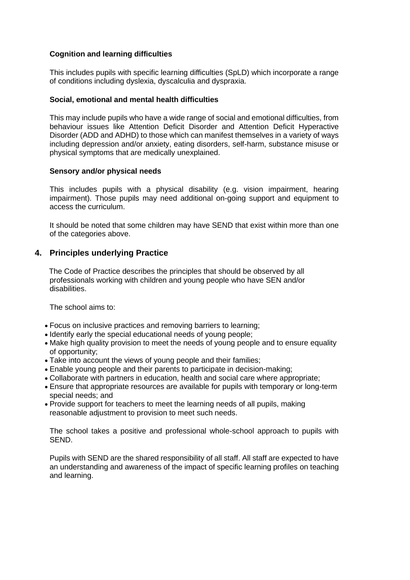#### **Cognition and learning difficulties**

This includes pupils with specific learning difficulties (SpLD) which incorporate a range of conditions including dyslexia, dyscalculia and dyspraxia.

#### **Social, emotional and mental health difficulties**

This may include pupils who have a wide range of social and emotional difficulties, from behaviour issues like Attention Deficit Disorder and Attention Deficit Hyperactive Disorder (ADD and ADHD) to those which can manifest themselves in a variety of ways including depression and/or anxiety, eating disorders, self-harm, substance misuse or physical symptoms that are medically unexplained.

#### **Sensory and/or physical needs**

This includes pupils with a physical disability (e.g. vision impairment, hearing impairment). Those pupils may need additional on-going support and equipment to access the curriculum.

It should be noted that some children may have SEND that exist within more than one of the categories above.

#### **4. Principles underlying Practice**

 The Code of Practice describes the principles that should be observed by all professionals working with children and young people who have SEN and/or disabilities.

The school aims to:

- Focus on inclusive practices and removing barriers to learning;
- Identify early the special educational needs of young people;
- Make high quality provision to meet the needs of young people and to ensure equality of opportunity;
- Take into account the views of young people and their families;
- Enable young people and their parents to participate in decision-making;
- Collaborate with partners in education, health and social care where appropriate;
- Ensure that appropriate resources are available for pupils with temporary or long-term special needs; and
- Provide support for teachers to meet the learning needs of all pupils, making reasonable adjustment to provision to meet such needs.

The school takes a positive and professional whole-school approach to pupils with SEND.

Pupils with SEND are the shared responsibility of all staff. All staff are expected to have an understanding and awareness of the impact of specific learning profiles on teaching and learning.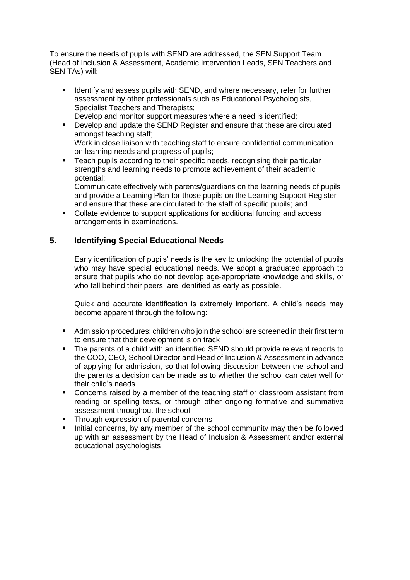To ensure the needs of pupils with SEND are addressed, the SEN Support Team (Head of Inclusion & Assessment, Academic Intervention Leads, SEN Teachers and SEN TAs) will:

- Identify and assess pupils with SEND, and where necessary, refer for further assessment by other professionals such as Educational Psychologists, Specialist Teachers and Therapists; Develop and monitor support measures where a need is identified;
- Develop and update the SEND Register and ensure that these are circulated amongst teaching staff; Work in close liaison with teaching staff to ensure confidential communication on learning needs and progress of pupils;
- Teach pupils according to their specific needs, recognising their particular strengths and learning needs to promote achievement of their academic potential;

Communicate effectively with parents/guardians on the learning needs of pupils and provide a Learning Plan for those pupils on the Learning Support Register and ensure that these are circulated to the staff of specific pupils; and

Collate evidence to support applications for additional funding and access arrangements in examinations.

# **5. Identifying Special Educational Needs**

Early identification of pupils' needs is the key to unlocking the potential of pupils who may have special educational needs. We adopt a graduated approach to ensure that pupils who do not develop age-appropriate knowledge and skills, or who fall behind their peers, are identified as early as possible.

Quick and accurate identification is extremely important. A child's needs may become apparent through the following:

- Admission procedures: children who join the school are screened in their first term to ensure that their development is on track
- The parents of a child with an identified SEND should provide relevant reports to the COO, CEO, School Director and Head of Inclusion & Assessment in advance of applying for admission, so that following discussion between the school and the parents a decision can be made as to whether the school can cater well for their child's needs
- Concerns raised by a member of the teaching staff or classroom assistant from reading or spelling tests, or through other ongoing formative and summative assessment throughout the school
- Through expression of parental concerns
- Initial concerns, by any member of the school community may then be followed up with an assessment by the Head of Inclusion & Assessment and/or external educational psychologists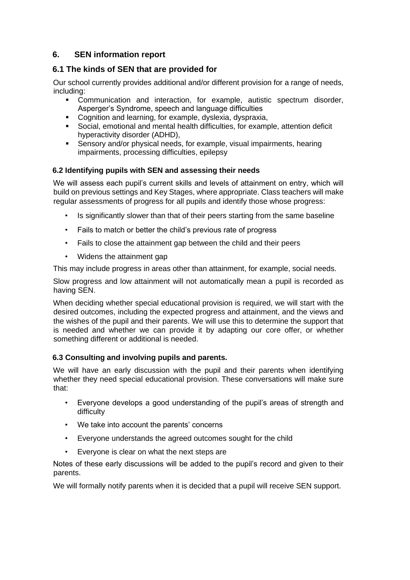# **6. SEN information report**

### **6.1 The kinds of SEN that are provided for**

Our school currently provides additional and/or different provision for a range of needs, including:

- Communication and interaction, for example, autistic spectrum disorder, Asperger's Syndrome, speech and language difficulties
- Cognition and learning, for example, dyslexia, dyspraxia,
- Social, emotional and mental health difficulties, for example, attention deficit hyperactivity disorder (ADHD),
- Sensory and/or physical needs, for example, visual impairments, hearing impairments, processing difficulties, epilepsy

#### **6.2 Identifying pupils with SEN and assessing their needs**

We will assess each pupil's current skills and levels of attainment on entry, which will build on previous settings and Key Stages, where appropriate. Class teachers will make regular assessments of progress for all pupils and identify those whose progress:

- Is significantly slower than that of their peers starting from the same baseline
- Fails to match or better the child's previous rate of progress
- Fails to close the attainment gap between the child and their peers
- Widens the attainment gap

This may include progress in areas other than attainment, for example, social needs.

Slow progress and low attainment will not automatically mean a pupil is recorded as having SEN.

When deciding whether special educational provision is required, we will start with the desired outcomes, including the expected progress and attainment, and the views and the wishes of the pupil and their parents. We will use this to determine the support that is needed and whether we can provide it by adapting our core offer, or whether something different or additional is needed.

#### **6.3 Consulting and involving pupils and parents.**

We will have an early discussion with the pupil and their parents when identifying whether they need special educational provision. These conversations will make sure that:

- Everyone develops a good understanding of the pupil's areas of strength and difficulty
- We take into account the parents' concerns
- Everyone understands the agreed outcomes sought for the child
- Everyone is clear on what the next steps are

Notes of these early discussions will be added to the pupil's record and given to their parents.

We will formally notify parents when it is decided that a pupil will receive SEN support.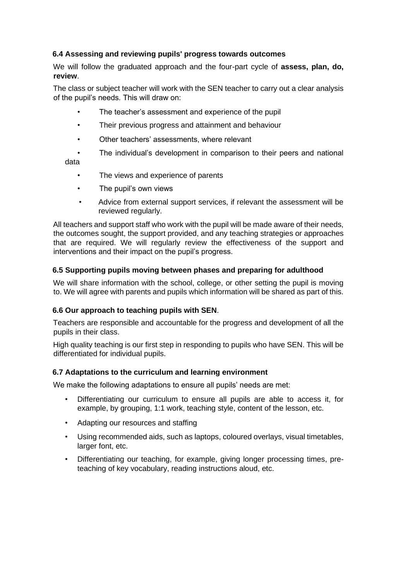#### **6.4 Assessing and reviewing pupils' progress towards outcomes**

We will follow the graduated approach and the four-part cycle of **assess, plan, do, review**.

The class or subject teacher will work with the SEN teacher to carry out a clear analysis of the pupil's needs. This will draw on:

- The teacher's assessment and experience of the pupil
- Their previous progress and attainment and behaviour
- Other teachers' assessments, where relevant
- The individual's development in comparison to their peers and national data
	- The views and experience of parents
	- The pupil's own views
	- Advice from external support services, if relevant the assessment will be reviewed regularly.

All teachers and support staff who work with the pupil will be made aware of their needs, the outcomes sought, the support provided, and any teaching strategies or approaches that are required. We will regularly review the effectiveness of the support and interventions and their impact on the pupil's progress.

#### **6.5 Supporting pupils moving between phases and preparing for adulthood**

We will share information with the school, college, or other setting the pupil is moving to. We will agree with parents and pupils which information will be shared as part of this.

#### **6.6 Our approach to teaching pupils with SEN**.

Teachers are responsible and accountable for the progress and development of all the pupils in their class.

High quality teaching is our first step in responding to pupils who have SEN. This will be differentiated for individual pupils.

#### **6.7 Adaptations to the curriculum and learning environment**

We make the following adaptations to ensure all pupils' needs are met:

- Differentiating our curriculum to ensure all pupils are able to access it, for example, by grouping, 1:1 work, teaching style, content of the lesson, etc.
- Adapting our resources and staffing
- Using recommended aids, such as laptops, coloured overlays, visual timetables, larger font, etc.
- Differentiating our teaching, for example, giving longer processing times, preteaching of key vocabulary, reading instructions aloud, etc.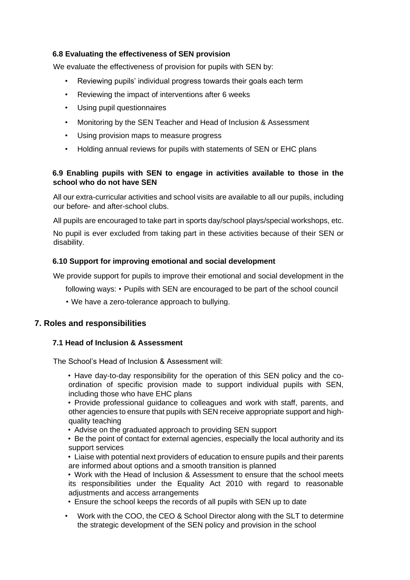#### **6.8 Evaluating the effectiveness of SEN provision**

We evaluate the effectiveness of provision for pupils with SEN by:

- Reviewing pupils' individual progress towards their goals each term
- Reviewing the impact of interventions after 6 weeks
- Using pupil questionnaires
- Monitoring by the SEN Teacher and Head of Inclusion & Assessment
- Using provision maps to measure progress
- Holding annual reviews for pupils with statements of SEN or EHC plans

#### **6.9 Enabling pupils with SEN to engage in activities available to those in the school who do not have SEN**

All our extra-curricular activities and school visits are available to all our pupils, including our before- and after-school clubs.

All pupils are encouraged to take part in sports day/school plays/special workshops, etc.

No pupil is ever excluded from taking part in these activities because of their SEN or disability.

#### **6.10 Support for improving emotional and social development**

We provide support for pupils to improve their emotional and social development in the

following ways: • Pupils with SEN are encouraged to be part of the school council

• We have a zero-tolerance approach to bullying.

#### **7. Roles and responsibilities**

#### **7.1 Head of Inclusion & Assessment**

The School's Head of Inclusion & Assessment will:

• Have day-to-day responsibility for the operation of this SEN policy and the coordination of specific provision made to support individual pupils with SEN, including those who have EHC plans

• Provide professional guidance to colleagues and work with staff, parents, and other agencies to ensure that pupils with SEN receive appropriate support and highquality teaching

• Advise on the graduated approach to providing SEN support

• Be the point of contact for external agencies, especially the local authority and its support services

• Liaise with potential next providers of education to ensure pupils and their parents are informed about options and a smooth transition is planned

• Work with the Head of Inclusion & Assessment to ensure that the school meets its responsibilities under the Equality Act 2010 with regard to reasonable adjustments and access arrangements

• Ensure the school keeps the records of all pupils with SEN up to date

• Work with the COO, the CEO & School Director along with the SLT to determine the strategic development of the SEN policy and provision in the school